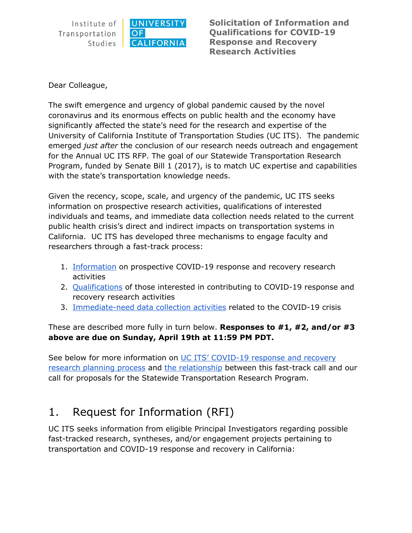

**Solicitation of Information and Qualifications for COVID-19 Response and Recovery Research Activities**

Dear Colleague,

The swift emergence and urgency of global pandemic caused by the novel coronavirus and its enormous effects on public health and the economy have significantly affected the state's need for the research and expertise of the University of California Institute of Transportation Studies (UC ITS). The pandemic emerged *just after* the conclusion of our research needs outreach and engagement for the Annual UC ITS RFP. The goal of our Statewide Transportation Research Program, funded by Senate Bill 1 (2017), is to match UC expertise and capabilities with the state's transportation knowledge needs.

Given the recency, scope, scale, and urgency of the pandemic, UC ITS seeks information on prospective research activities, qualifications of interested individuals and teams, and immediate data collection needs related to the current public health crisis's direct and indirect impacts on transportation systems in California. UC ITS has developed three mechanisms to engage faculty and researchers through a fast-track process:

- 1. [Information](#page-0-0) on prospective COVID-19 response and recovery research activities
- 2. [Qualifications](#page-1-0) of those interested in contributing to COVID-19 response and recovery research activities
- 3. [Immediate-need](#page-2-0) data collection activities related to the COVID-19 crisis

These are described more fully in turn below. **Responses to #1, #2, and/or #3 above are due on Sunday, April 19th at 11:59 PM PDT.**

See below for more information on UC ITS' [COVID-19](#page-3-0) response and recovery [research](#page-3-0) planning process and the [relationship](#page-4-0) between this fast-track call and our call for proposals for the Statewide Transportation Research Program.

### <span id="page-0-0"></span>1. Request for Information (RFI)

UC ITS seeks information from eligible Principal Investigators regarding possible fast-tracked research, syntheses, and/or engagement projects pertaining to transportation and COVID-19 response and recovery in California: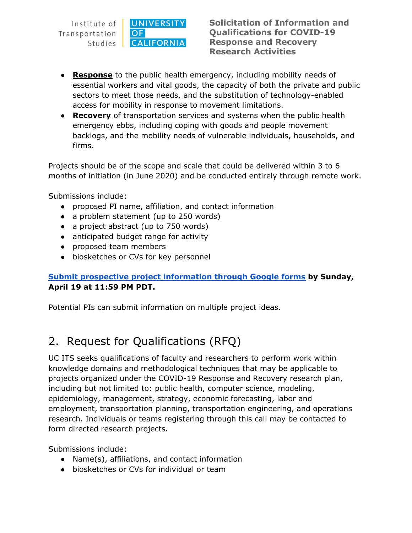

**Solicitation of Information and Qualifications for COVID-19 Response and Recovery Research Activities**

- **Response** to the public health emergency, including mobility needs of essential workers and vital goods, the capacity of both the private and public sectors to meet those needs, and the substitution of technology-enabled access for mobility in response to movement limitations.
- **Recovery** of transportation services and systems when the public health emergency ebbs, including coping with goods and people movement backlogs, and the mobility needs of vulnerable individuals, households, and firms.

Projects should be of the scope and scale that could be delivered within 3 to 6 months of initiation (in June 2020) and be conducted entirely through remote work.

Submissions include:

- proposed PI name, affiliation, and contact information
- a problem statement (up to 250 words)
- a project abstract (up to 750 words)
- anticipated budget range for activity
- proposed team members
- biosketches or CVs for key personnel

#### **Submit prospective project [information](https://docs.google.com/forms/d/e/1FAIpQLSeJ5E45pqsfoAqtTEXy5xUOmz4gnjnAbBu4gMFAXI3Maz6OtA/viewform?usp=sf_link) through Google forms by Sunday, April 19 at 11:59 PM PDT.**

Potential PIs can submit information on multiple project ideas.

## <span id="page-1-0"></span>2. Request for Qualifications (RFQ)

UC ITS seeks qualifications of faculty and researchers to perform work within knowledge domains and methodological techniques that may be applicable to projects organized under the COVID-19 Response and Recovery research plan, including but not limited to: public health, computer science, modeling, epidemiology, management, strategy, economic forecasting, labor and employment, transportation planning, transportation engineering, and operations research. Individuals or teams registering through this call may be contacted to form directed research projects.

Submissions include:

- Name(s), affiliations, and contact information
- biosketches or CVs for individual or team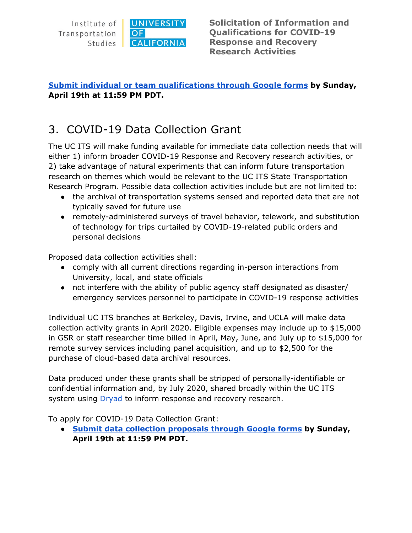

### **Submit individual or team [qualifications](https://forms.gle/YP8LDgkDHrAWHC8m6) through Google forms by Sunday, April 19th at 11:59 PM PDT.**

### <span id="page-2-0"></span>3. COVID-19 Data Collection Grant

The UC ITS will make funding available for immediate data collection needs that will either 1) inform broader COVID-19 Response and Recovery research activities, or 2) take advantage of natural experiments that can inform future transportation research on themes which would be relevant to the UC ITS State Transportation Research Program. Possible data collection activities include but are not limited to:

- the archival of transportation systems sensed and reported data that are not typically saved for future use
- remotely-administered surveys of travel behavior, telework, and substitution of technology for trips curtailed by COVID-19-related public orders and personal decisions

Proposed data collection activities shall:

- comply with all current directions regarding in-person interactions from University, local, and state officials
- not interfere with the ability of public agency staff designated as disaster/ emergency services personnel to participate in COVID-19 response activities

Individual UC ITS branches at Berkeley, Davis, Irvine, and UCLA will make data collection activity grants in April 2020. Eligible expenses may include up to \$15,000 in GSR or staff researcher time billed in April, May, June, and July up to \$15,000 for remote survey services including panel acquisition, and up to \$2,500 for the purchase of cloud-based data archival resources.

Data produced under these grants shall be stripped of personally-identifiable or confidential information and, by July 2020, shared broadly within the UC ITS system using **[Dryad](https://datadryad.org/stash)** to inform response and recovery research.

To apply for COVID-19 Data Collection Grant:

**● Submit data collection [proposals](https://forms.gle/tgTgWk4r93R86qRf7) through Google forms by Sunday, April 19th at 11:59 PM PDT.**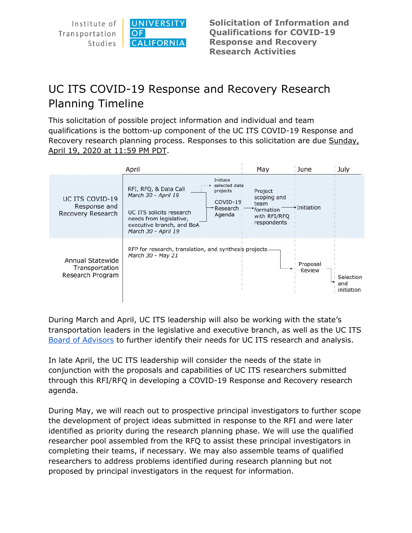**UNIVERSITY** Institute of OF Transportation **CALIFORNIA** Studies

**Solicitation of Information and Qualifications for COVID-19 Response and Recovery Research Activities**

# <span id="page-3-0"></span>UC ITS COVID-19 Response and Recovery Research Planning Timeline

This solicitation of possible project information and individual and team qualifications is the bottom-up component of the UC ITS COVID-19 Response and Recovery research planning process. Responses to this solicitation are due Sunday, April 19, 2020 at 11:59 PM PDT.

|                                                        | April                                                                                                                                                                                                                               | May                                                                        | June               | July                           |
|--------------------------------------------------------|-------------------------------------------------------------------------------------------------------------------------------------------------------------------------------------------------------------------------------------|----------------------------------------------------------------------------|--------------------|--------------------------------|
| UC ITS COVID-19<br>Response and<br>Recovery Research   | Initiate<br>selected data<br>RFI, RFQ, & Data Call<br>projects<br>March 30 - April 19<br>COVID-19<br>-Research<br>UC ITS solicits research<br>Agenda<br>needs from legislative,<br>executive branch, and BoA<br>March 30 - April 19 | Project<br>scoping and<br>team<br>formation<br>with RFI/RFQ<br>respondents | •Initiation        |                                |
| Annual Statewide<br>Transportation<br>Research Program | RFP for research, translation, and synthesis projects.<br>March 30 - May 21                                                                                                                                                         |                                                                            | Proposal<br>Review | Selection<br>and<br>initiation |

During March and April, UC ITS leadership will also be working with the state's transportation leaders in the legislative and executive branch, as well as the UC ITS Board of [Advisors](http://www.ucits.org/board-of-advisors/) to further identify their needs for UC ITS research and analysis.

In late April, the UC ITS leadership will consider the needs of the state in conjunction with the proposals and capabilities of UC ITS researchers submitted through this RFI/RFQ in developing a COVID-19 Response and Recovery research agenda.

During May, we will reach out to prospective principal investigators to further scope the development of project ideas submitted in response to the RFI and were later identified as priority during the research planning phase. We will use the qualified researcher pool assembled from the RFQ to assist these principal investigators in completing their teams, if necessary. We may also assemble teams of qualified researchers to address problems identified during research planning but not proposed by principal investigators in the request for information.